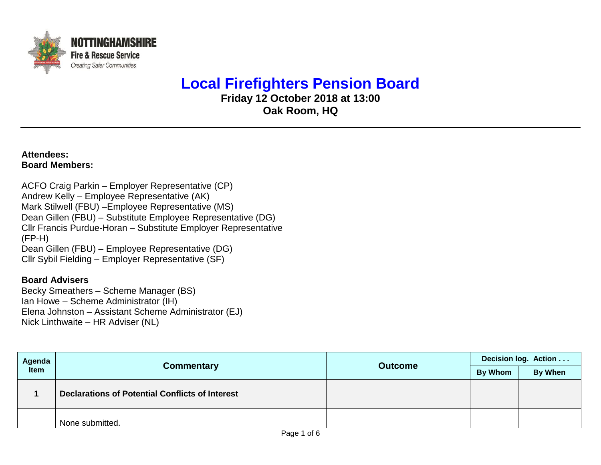

## **Local Firefighters Pension Board**

**Friday 12 October 2018 at 13:00 Oak Room, HQ**

**Attendees: Board Members:**

ACFO Craig Parkin – Employer Representative (CP) Andrew Kelly – Employee Representative (AK) Mark Stilwell (FBU) –Employee Representative (MS) Dean Gillen (FBU) – Substitute Employee Representative (DG) Cllr Francis Purdue-Horan – Substitute Employer Representative (FP-H) Dean Gillen (FBU) – Employee Representative (DG) Cllr Sybil Fielding – Employer Representative (SF)

## **Board Advisers**

Becky Smeathers – Scheme Manager (BS) Ian Howe – Scheme Administrator (IH) Elena Johnston – Assistant Scheme Administrator (EJ) Nick Linthwaite – HR Adviser (NL)

| Agenda<br>Item |                                                        |                | Decision log. Action |         |  |
|----------------|--------------------------------------------------------|----------------|----------------------|---------|--|
|                | <b>Commentary</b>                                      | <b>Outcome</b> | By Whom              | By When |  |
|                | <b>Declarations of Potential Conflicts of Interest</b> |                |                      |         |  |
|                | None submitted.                                        |                |                      |         |  |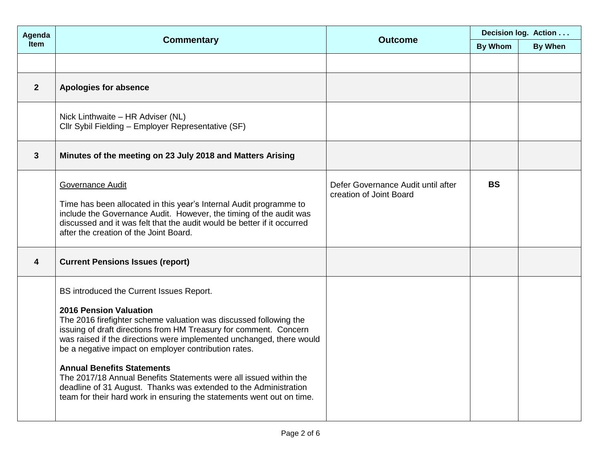| Agenda         | <b>Commentary</b>                                                                                                                                                                                                                                                                                                                                                                                                                                                                                                                                                                                          | <b>Outcome</b>                                                | Decision log. Action |                |  |
|----------------|------------------------------------------------------------------------------------------------------------------------------------------------------------------------------------------------------------------------------------------------------------------------------------------------------------------------------------------------------------------------------------------------------------------------------------------------------------------------------------------------------------------------------------------------------------------------------------------------------------|---------------------------------------------------------------|----------------------|----------------|--|
| Item           |                                                                                                                                                                                                                                                                                                                                                                                                                                                                                                                                                                                                            |                                                               | <b>By Whom</b>       | <b>By When</b> |  |
|                |                                                                                                                                                                                                                                                                                                                                                                                                                                                                                                                                                                                                            |                                                               |                      |                |  |
| $\overline{2}$ | <b>Apologies for absence</b>                                                                                                                                                                                                                                                                                                                                                                                                                                                                                                                                                                               |                                                               |                      |                |  |
|                | Nick Linthwaite - HR Adviser (NL)<br>Cllr Sybil Fielding - Employer Representative (SF)                                                                                                                                                                                                                                                                                                                                                                                                                                                                                                                    |                                                               |                      |                |  |
| 3              | Minutes of the meeting on 23 July 2018 and Matters Arising                                                                                                                                                                                                                                                                                                                                                                                                                                                                                                                                                 |                                                               |                      |                |  |
|                | <b>Governance Audit</b><br>Time has been allocated in this year's Internal Audit programme to<br>include the Governance Audit. However, the timing of the audit was<br>discussed and it was felt that the audit would be better if it occurred<br>after the creation of the Joint Board.                                                                                                                                                                                                                                                                                                                   | Defer Governance Audit until after<br>creation of Joint Board | <b>BS</b>            |                |  |
| 4              | <b>Current Pensions Issues (report)</b>                                                                                                                                                                                                                                                                                                                                                                                                                                                                                                                                                                    |                                                               |                      |                |  |
|                | BS introduced the Current Issues Report.<br><b>2016 Pension Valuation</b><br>The 2016 firefighter scheme valuation was discussed following the<br>issuing of draft directions from HM Treasury for comment. Concern<br>was raised if the directions were implemented unchanged, there would<br>be a negative impact on employer contribution rates.<br><b>Annual Benefits Statements</b><br>The 2017/18 Annual Benefits Statements were all issued within the<br>deadline of 31 August. Thanks was extended to the Administration<br>team for their hard work in ensuring the statements went out on time. |                                                               |                      |                |  |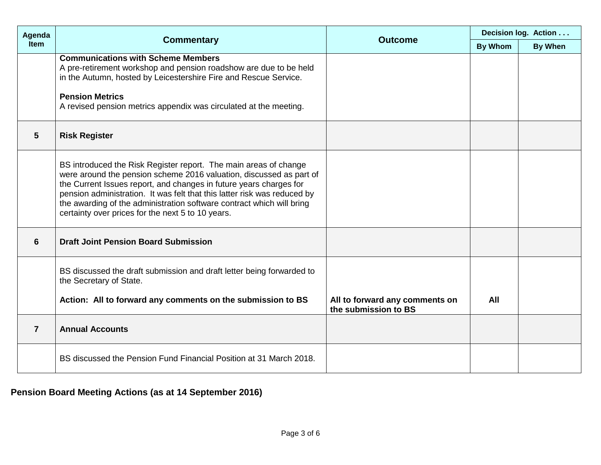| Agenda         |                                                                                                                                                                                                                                                                                                                                                                                                                         | <b>Outcome</b>                                         | Decision log. Action |                |  |
|----------------|-------------------------------------------------------------------------------------------------------------------------------------------------------------------------------------------------------------------------------------------------------------------------------------------------------------------------------------------------------------------------------------------------------------------------|--------------------------------------------------------|----------------------|----------------|--|
| <b>Item</b>    | <b>Commentary</b>                                                                                                                                                                                                                                                                                                                                                                                                       |                                                        | <b>By Whom</b>       | <b>By When</b> |  |
|                | <b>Communications with Scheme Members</b><br>A pre-retirement workshop and pension roadshow are due to be held<br>in the Autumn, hosted by Leicestershire Fire and Rescue Service.<br><b>Pension Metrics</b><br>A revised pension metrics appendix was circulated at the meeting.                                                                                                                                       |                                                        |                      |                |  |
| 5              | <b>Risk Register</b>                                                                                                                                                                                                                                                                                                                                                                                                    |                                                        |                      |                |  |
|                | BS introduced the Risk Register report. The main areas of change<br>were around the pension scheme 2016 valuation, discussed as part of<br>the Current Issues report, and changes in future years charges for<br>pension administration. It was felt that this latter risk was reduced by<br>the awarding of the administration software contract which will bring<br>certainty over prices for the next 5 to 10 years. |                                                        |                      |                |  |
| 6              | <b>Draft Joint Pension Board Submission</b>                                                                                                                                                                                                                                                                                                                                                                             |                                                        |                      |                |  |
|                | BS discussed the draft submission and draft letter being forwarded to<br>the Secretary of State.                                                                                                                                                                                                                                                                                                                        |                                                        |                      |                |  |
|                | Action: All to forward any comments on the submission to BS                                                                                                                                                                                                                                                                                                                                                             | All to forward any comments on<br>the submission to BS | All                  |                |  |
| $\overline{7}$ | <b>Annual Accounts</b>                                                                                                                                                                                                                                                                                                                                                                                                  |                                                        |                      |                |  |
|                | BS discussed the Pension Fund Financial Position at 31 March 2018.                                                                                                                                                                                                                                                                                                                                                      |                                                        |                      |                |  |

## **Pension Board Meeting Actions (as at 14 September 2016)**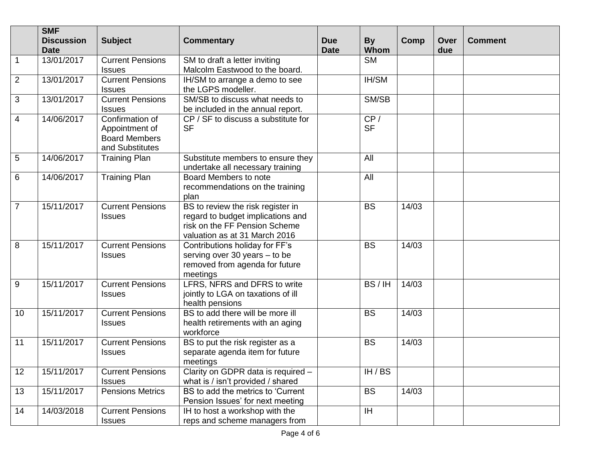|                 | <b>SMF</b><br><b>Discussion</b> | <b>Subject</b>                                                               | <b>Commentary</b>                                                                                                                        | <b>Due</b>  | <b>By</b>        | Comp  | Over | <b>Comment</b> |
|-----------------|---------------------------------|------------------------------------------------------------------------------|------------------------------------------------------------------------------------------------------------------------------------------|-------------|------------------|-------|------|----------------|
|                 | <b>Date</b>                     |                                                                              |                                                                                                                                          | <b>Date</b> | Whom             |       | due  |                |
| $\overline{1}$  | 13/01/2017                      | <b>Current Pensions</b><br><b>Issues</b>                                     | SM to draft a letter inviting<br>Malcolm Eastwood to the board.                                                                          |             | <b>SM</b>        |       |      |                |
| $\overline{2}$  | 13/01/2017                      | <b>Current Pensions</b><br><b>Issues</b>                                     | IH/SM to arrange a demo to see<br>the LGPS modeller.                                                                                     |             | IH/SM            |       |      |                |
| $\overline{3}$  | 13/01/2017                      | <b>Current Pensions</b><br><b>Issues</b>                                     | SM/SB to discuss what needs to<br>be included in the annual report.                                                                      |             | SM/SB            |       |      |                |
| $\overline{4}$  | 14/06/2017                      | Confirmation of<br>Appointment of<br><b>Board Members</b><br>and Substitutes | CP / SF to discuss a substitute for<br><b>SF</b>                                                                                         |             | CP/<br><b>SF</b> |       |      |                |
| $\overline{5}$  | 14/06/2017                      | <b>Training Plan</b>                                                         | Substitute members to ensure they<br>undertake all necessary training                                                                    |             | All              |       |      |                |
| $6\phantom{1}6$ | 14/06/2017                      | <b>Training Plan</b>                                                         | Board Members to note<br>recommendations on the training<br>plan                                                                         |             | All              |       |      |                |
| $\overline{7}$  | 15/11/2017                      | <b>Current Pensions</b><br><b>Issues</b>                                     | BS to review the risk register in<br>regard to budget implications and<br>risk on the FF Pension Scheme<br>valuation as at 31 March 2016 |             | <b>BS</b>        | 14/03 |      |                |
| 8               | 15/11/2017                      | <b>Current Pensions</b><br><b>Issues</b>                                     | Contributions holiday for FF's<br>serving over 30 years - to be<br>removed from agenda for future<br>meetings                            |             | <b>BS</b>        | 14/03 |      |                |
| 9               | 15/11/2017                      | <b>Current Pensions</b><br><b>Issues</b>                                     | LFRS, NFRS and DFRS to write<br>jointly to LGA on taxations of ill<br>health pensions                                                    |             | BS/IH            | 14/03 |      |                |
| 10              | 15/11/2017                      | <b>Current Pensions</b><br><b>Issues</b>                                     | BS to add there will be more ill<br>health retirements with an aging<br>workforce                                                        |             | <b>BS</b>        | 14/03 |      |                |
| 11              | 15/11/2017                      | <b>Current Pensions</b><br><b>Issues</b>                                     | BS to put the risk register as a<br>separate agenda item for future<br>meetings                                                          |             | <b>BS</b>        | 14/03 |      |                |
| 12              | 15/11/2017                      | <b>Current Pensions</b><br><b>Issues</b>                                     | Clarity on GDPR data is required -<br>what is / isn't provided / shared                                                                  |             | IH / BS          |       |      |                |
| 13              | 15/11/2017                      | <b>Pensions Metrics</b>                                                      | BS to add the metrics to 'Current<br>Pension Issues' for next meeting                                                                    |             | <b>BS</b>        | 14/03 |      |                |
| 14              | 14/03/2018                      | <b>Current Pensions</b><br><b>Issues</b>                                     | IH to host a workshop with the<br>reps and scheme managers from                                                                          |             | IH               |       |      |                |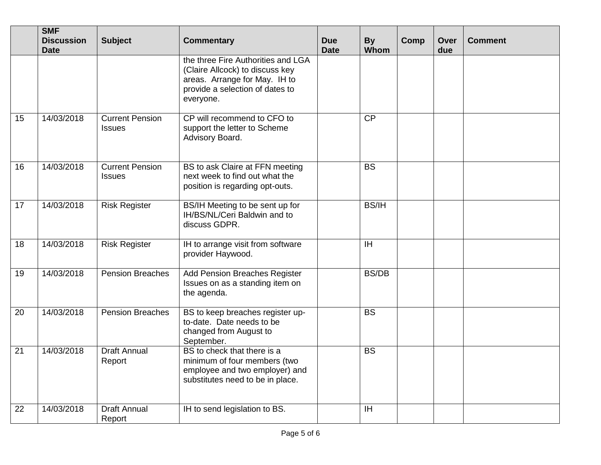|    | <b>SMF</b><br><b>Discussion</b> | <b>Subject</b>                          | <b>Commentary</b>                                                                                                                                      | <b>Due</b>  | <b>By</b>    | <b>Comp</b> | Over | <b>Comment</b> |
|----|---------------------------------|-----------------------------------------|--------------------------------------------------------------------------------------------------------------------------------------------------------|-------------|--------------|-------------|------|----------------|
|    | <b>Date</b>                     |                                         | the three Fire Authorities and LGA<br>(Claire Allcock) to discuss key<br>areas. Arrange for May. IH to<br>provide a selection of dates to<br>everyone. | <b>Date</b> | Whom         |             | due  |                |
| 15 | 14/03/2018                      | <b>Current Pension</b><br><b>Issues</b> | CP will recommend to CFO to<br>support the letter to Scheme<br>Advisory Board.                                                                         |             | <b>CP</b>    |             |      |                |
| 16 | 14/03/2018                      | <b>Current Pension</b><br><b>Issues</b> | BS to ask Claire at FFN meeting<br>next week to find out what the<br>position is regarding opt-outs.                                                   |             | <b>BS</b>    |             |      |                |
| 17 | 14/03/2018                      | <b>Risk Register</b>                    | BS/IH Meeting to be sent up for<br>IH/BS/NL/Ceri Baldwin and to<br>discuss GDPR.                                                                       |             | <b>BS/IH</b> |             |      |                |
| 18 | 14/03/2018                      | <b>Risk Register</b>                    | IH to arrange visit from software<br>provider Haywood.                                                                                                 |             | <b>IH</b>    |             |      |                |
| 19 | 14/03/2018                      | <b>Pension Breaches</b>                 | Add Pension Breaches Register<br>Issues on as a standing item on<br>the agenda.                                                                        |             | <b>BS/DB</b> |             |      |                |
| 20 | 14/03/2018                      | <b>Pension Breaches</b>                 | BS to keep breaches register up-<br>to-date. Date needs to be<br>changed from August to<br>September.                                                  |             | <b>BS</b>    |             |      |                |
| 21 | 14/03/2018                      | <b>Draft Annual</b><br>Report           | BS to check that there is a<br>minimum of four members (two<br>employee and two employer) and<br>substitutes need to be in place.                      |             | <b>BS</b>    |             |      |                |
| 22 | 14/03/2018                      | <b>Draft Annual</b><br>Report           | IH to send legislation to BS.                                                                                                                          |             | IH           |             |      |                |